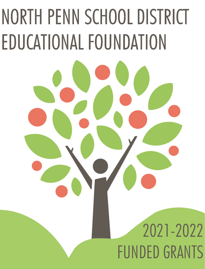# NORTH PENN SCHOOL DISTRICT EDUCATIONAL FOUNDATION

# 2021-2022 FUNDED GRANTS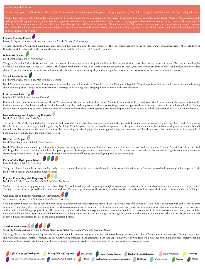For this year's grants the North Penn School District Educational Foundation awarded 42 grants totaling approximately \$47,000. These grants have benefitted students at each grade level.

Grants like these not only enhance the curriculum but provide a hands-on and innovative way for students to embrace and fully comprehend the lesson. When NPSD educat staff apply for these grants, some think of how this experience will affect the student in the future. Science and technology grants allow students to understand theories at the next level of thinking. Other grants allow teachers to think about how this experience will benefit students socially and vocationally. We are sure that when you read through these grant descriptions you will see how these experiences allow our students to develop into better students and citizens. Without you and your generosity, the NPSD students and staff would not have acces to these amazing opportunities.

## **Friendly Monster Project**

#### Gwynedd Square Elementary School and Penndale Middle School, *Jessica Kenney*

1st grade students at Gwynedd Square Elementary designed their one-of-a-kind "friendly monsters." These monsters were sent to the 9th grade Family Consumer Science (FCS) students of Penndale Middle School where they sewed the monsters and had them "come to life" as stuffed animals.

#### **Indoor Air Quality**

North Penn High School, *John Collier*

This grant funded a Pocketlab Air module, which is a sensor that measures several air quality indicators, like carbon dioxide, particulate matter, ozone, and more. The sensor is used in the NPHS AP Environmental Science class, which is the highest enrollment AP course in North Penn for the previous school year. This allowed students to collect and analyze real-world data about the quality of our own air to better understand what factors contribute to air quality, and to design their own experiments to see what factors can impact air quality.

#### **Virtual Speaker Series**

#### North Penn High School, *Dave Hall and Bob McCreary*

North Penn students went on a virtual tour to meet students their age in South Africa, Costa Rica, and the Dominican Republic. They also spoke with former and current inmates in learning about criminal justice. This grant helps utilize virtual meetings in a sociology class, bringing the world into North Penn classrooms.

#### **FCS Culinary Field Trip**

#### Pennbrook Middle School, *Lauren Ewaniuk*

Pennbrook Family and Consumer Sciences (FCS) 9th grade major classes traveled to Montgomery County Community College's Culinary School to learn about the opportunities in the field of culinary arts. Students toured the facility, learned about their college program and teenage cooking classes, and got hands-on experience cooking in an industrial kitchen. Giving the students an opportunity to work in various types of kitchens and learn about career opportunities helped inspire students to continue with the education in FCS at NPHS and beyond.

#### **Nanotechnology and Engineering Research**

North Penn High School, *Mike Boyer*

The Future is N.E.A.R. (Nanotechnology Education and Research) is a STEM education research program that parallels the senior capstone course, Engineering Design and Development (EDD), of the North Penn High School Engineering Academy. With this grant, students worked in design teams, utilizing a combination of creative problem solving and the latest published research available to improve the human condition by researching and developing solutions to global energy, environment, and healthcare issues that capitalize from fundamentals of nanotechnology and cutting edge engineering research.

#### **Kids Service Project**

#### North Wales Elementary School, *Tracy Schaefer*

North Wales Elementary students participated in a project that brings warmth, some comfort, and nourishment for those in need. Students in grades 4, 5, and 6 participated in a Sock Roll Challenge. Each student created a sock roll made up of a pair of socks wrapped around a granola bar, a pack of crackers, and a note with a personalized message for community members experiencing homelessness. This project showed students the importance of helping others and giving back to the community.



This grant allowed for a fully inclusive student body to teach students how to become self-sufficient in the farm-to-table environment. Students worked independently and grew part of their food for their Family and Consumer Science classes.

# **Physical Computing with RaspberryPi**

North Penn High School, *Michael Voicheck and Curt Reichwein*

Students in the engineering program at North Penn High School learned physical computing through microcomputers, allowing them to analyze and develop solutions to real problems. Through the use of the RaspberryPi microcomputer and basic Python programming, students manipulated real-world data and control electronic devices with coding and circuit building.

#### **Communication Board for Elementary Playgrounds**

All Elementary Schools, *Michelle Kusturiss and Jessica McCollian*

Communication boards installed at each of North Penn's 13 elementary school playgrounds provided a means for students of all communication abilities to connect with each other and their educators. These bilingual picture communication boards created an inclusive environment for all students, but particularly those with communication disabilities, autism spectrum disorders, and/or limited English language proficiency. The use of the communication boards also promotes awareness, understanding, and acceptance of picture-based communication systems and the individuals who use them. Approximately 6,500 elementary students across the district in kindergarten through 6th grade, as well as community members who use the playgrounds outside of school hours, benefit from the use of the communication boards.



#### Gwynedd Square Elementary School, *Stacey Moyer, Kelly McCarthy, Megan Dolan, and Rosemary Hilsey*

The 1st grade teachers of Gwynedd Square used this grant to purchase diverse literature selections to help students grow, learn, and value different cultures and heritages. Through these books and related teachings, acceptance, respect, and self-worth will be emphasized and celebrated. Each year approximately 75-100 students will be reached by using these books, thereby opening the doors for future teachers to build on this foundation, and empowering students to become more loving, respectful, and accepting people.

**English Language Development Reading/Writing/Language Music/Arts History/Social Studies Health/Physical Education Family Outreach Technology**

**Human Services/Consumer Sciences Special/Gifted Education STEM Technology Education/Engineering Guidance Mathematics Science**

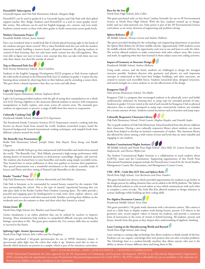# **PixtonEDU Subscription**

#### Gwynedd Square and Oak Park Elementary Schools, *Margaret Ridge*

PixtonEDU can be used in grades K-6 at Gwynedd Square and Oak Park with their gifted support teacher, Mrs. Ridge. Students used PixtonEDU as a tool to create graphic novellike stories. This software can be used for English language arts, content, and even math. Students created stories to share with other grades to build connections across grade levels.

#### **Modern Classrooms Project**

Pennfield Middle School, *Joann Samuel* 

Have you wondered what it would look like if schools placed learning right in the hands of the students and gave them control? This is what Pennfield tried this year with the modern classrooms model, building a mastery-based, self-paced classroom. By placing students in control of their learning, they not only learn math content but also self-regulation. They were able to figure out ways to learn a new concept that they can take with them into not only their classes, but their life outside of school.

**Trip to Elmwood Park Zoo**

#### York Avenue Elementary School, *Tami Cantilina*

Students in the English Language Development (ELD) program at York Avenue explored the wild world of animals at the Elmwood Park Zoo! 22 students in grades 1-6 spent the day learning about animals by observing them in their habitats and by attending a nature show. This gave them a shared experience that they can write and talk about.

### **Light Up Learning**

#### Gwynedd Square Elementary School, *Stephanie Brecht*

Light Up Learning provided students with the gift of seeing their manipulatives on a whole new level. Having a lightbox in the classroom allowed students to interact with transparent manipulatives to build, explore, and create across all content areas. The materials gave students an opportunity to practice a range of skills from fine motor to cooperation.

# **Culturally Cooking Club**

#### Pennbrook Middle School, *Pennbrook FCS Department*

The Pennbrook Family Consumer Sciences (FCS) Department created a cooking club that focuses on diverse foods from around the world. Students researched recipes, heard the historical background, learned international cooking techniques, and sampled foods from different cultures around the world.

#### **The Butterfly Guy Presentation**

Bridle Path Elementary School, *Jennifer Oakes, Kate Huynh, Teresa Young, and Maddi Clugston*

2nd graders at Bridle Path got up close and personal with butterflies and moths from around the world. "The Butterfly Guy", Rick Mikula, presented a high-energy performance while sharing dozens of mounted specimens to demonstrate camouflage, disguise, and survival. The students also learned how to raise butterflies and moths using simple recyclable items. They learned how to attract pollinators to their own gardens to increase their population. This special presentation was a wonderful enrichment to the students' scientific study of Insects and Plants and their raising of Painted Lady Butterflies in the classroom.



#### Oak Park Elementary School, *Christina Bortnichak and Deb Milano*

Oak Park is fortunate to be surrounded by natural beauty, named for the majestic Oak trees surrounding the school. This is the type of natural, experiential learning that can take place daily in the Kinder Garden Patio Outdoor Learning Space. The tables provide a peaceful and engaging space for kindergartners to read, write, draw, explore, observe, and use their senses to connect with their natural world. Families can bring their children on the weekends and over the summer to show and share what they learned at school.



North Penn High School, *Eric Weathers and Daniel Krueger*

Gizmo simulations is an online platform that can be utilized by teachers to improve learning. These simulations help students to comprehend difficult concepts and bring the biology curriculum to life. This grant gives students the 21st century skills that are needed to succeed in the future.

#### **Splitting Light- Atomic Spectroscopy**

North Penn High School, *John Collier and Pat Dougherty*

This grant purchased 2 lab-grade spectroscopes for use in NPHS chemistry classes. A spectroscope splits light into the colors that make it up. Students used this in class to identify which elements are present in a sample, which is part of the chemistry curriculum.



This grant purchased solar car kits from Carolina Scientific for use in AP Environmental Science at North Penn High School. With the kits, students teamed up to design, build, and race solar-powered cars. Solar power is part of the AP Environmental Science curriculum, as are many elements of engineering and problem solving.

# **Sphero Robotics**

All Middle Schools, *Nicasio Lorenzo and Andrew Hollstein*

This grant provided funding for the technology and engineering department to purchase the Sphero Bolt Robots for all three middle schools. Approximately 4500 students across the middle schools will have the opportunity each year to use and learn to code the robot. The activity allowed students to make connections with other subject areas, like science and math, by applying what they have learned in those subject areas into coding activities.

# **Impact of Geometry in Structure Design**



Using math, science, and the brain, students are challenged to design the strongest structure possible. Students discover why geometry and physics are such important concepts to understand as they learn how bridges, buildings, and other structures, are created to sustain such incredible forces. Students researched ideas, designed structures, and tested strength on a stress analyzer to see the effectiveness of the design.

#### **Kangaroo Club**

York Avenue Elementary School, *Von Muller*

Kangaroo Club is a program that encouraged students to be physically active and builds cardiovascular endurance by learning how to jump rope for extended periods of time. Students in grades 3-6 were tested at the end of each month for Kangaroo Club in physical education class as students attempted to jump rope consecutively without any mistakes for a certain amount of time. Students earned incentives such as bracelets and jump ropes.



Oak Park Elementary School, *Nicole Lanetti, Meghan Kosydar, and Danielle Snyder*

The 1st grade students of Oak Park Elementary School benefited from this diverse addition their classrooms. Having a new culturally responsive library where students can choose books from helped to develop an inclusive community of readers. This classroom library also allowed for choice among a wide variety of texts and levels that are more relatable and engaging to our students.

### **Student Constitutional Rights Institute**



All Middle Schools and North Penn High School- *Dave Hall, Dr. Lauren Ewaniuk, Tara Kadyszewski, and Florence Wydra-Gat*

The Student Constitutional Rights Institute is a collaboration to teach students about LGBTQ+ issues and the Constitution. Supporting organizations of this North Penn Educational Foundation program include the Pennsylvania Council for the Social Studies, Montgomery County Bar Association, and Montgomery County Courts.

#### **CIM - RVR + Little Bits AGV Kits and Sphero Bolts**

North Penn High School, *Curt Reichwein and Drew Daubert*

This grant funded new devices which provided opportunities for students to go farther in the design process by adding elements that can be added to the RVR platform. The Sphero Bolts allowed students to code several robots at once which communicate with each other to complete a series of tasks. The Little Bits Kits allowed students to design solutions to various challenges while building up their coding skills.



This grant provided a 7th grade math classroom with a document camera. This camera is used on a daily basis to display student work during lessons, present 3-D objects in the geometry unit, record support videos or lessons for students, and provide a consistent form of instruction in the event of virtual or hybrid learning. All students, present and future, benefit from this grant as they deepen their understanding of algebraic thinking.

#### **Laser Cutting in the Manufacturing World and Beyond** North Penn High School, *Julia Young*

Laser cutting is a cutting-edge technology that allows students to think outside of the box. Students can cut, engrave, and design their own projects that can solve everyday problems. The Glowforge laser is a student-friendly machine that allows anyone who uses it the ability to dream of many different ideas and bring them to life.

EITC: YOUR BUSINESS + NPSD + OUR STUDENTS = A WINNING COMBINATION

NPSD Educational Foundation has been approved by the PA Department of Community and Economic Development (DCED) as an Educational Improvement Organization (EIO), meaning that our organization can accept Pennsylvania Educational Improvement Tax Credit (EITC). The EITC makes it affordable for you to contribute to the education of Pennsylvania's children and make a footprint in our community.